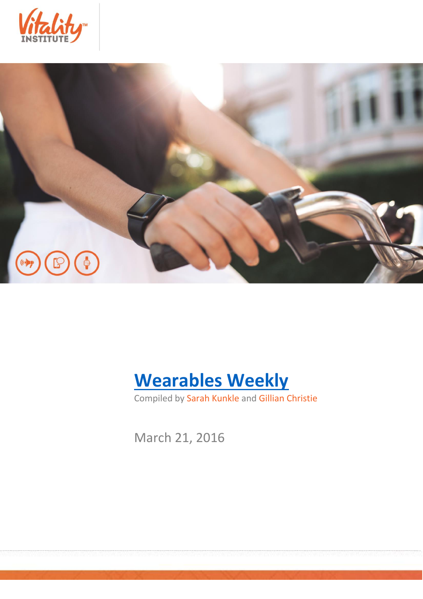





Compiled by Sarah Kunkle and Gillian Christie

March 21, 2016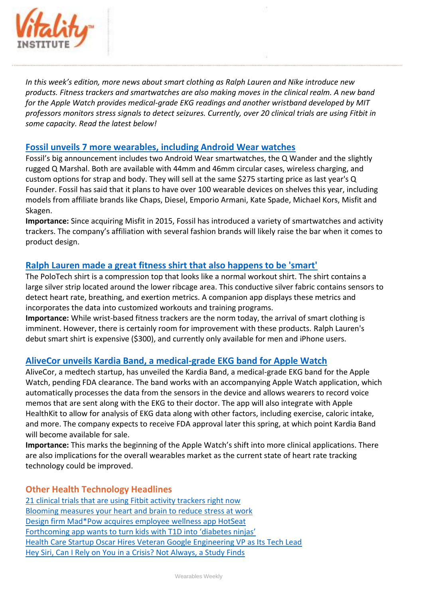

*In this week's edition, more news about smart clothing as Ralph Lauren and Nike introduce new products. Fitness trackers and smartwatches are also making moves in the clinical realm. A new band for the Apple Watch provides medical-grade EKG readings and another wristband developed by MIT professors monitors stress signals to detect seizures. Currently, over 20 clinical trials are using Fitbit in some capacity. Read the latest below!*

## **[Fossil unveils 7 more wearables, including Android Wear watches](http://www.engadget.com/2016/03/15/fossil-unveils-7-more-wearables/)**

Fossil's big announcement includes two Android Wear smartwatches, the Q Wander and the slightly rugged Q Marshal. Both are available with 44mm and 46mm circular cases, wireless charging, and custom options for strap and body. They will sell at the same \$275 starting price as last year's Q Founder. Fossil has said that it plans to have over 100 wearable devices on shelves this year, including models from affiliate brands like Chaps, Diesel, Emporio Armani, Kate Spade, Michael Kors, Misfit and Skagen.

**Importance:** Since acquiring Misfit in 2015, Fossil has introduced a variety of smartwatches and activity trackers. The company's affiliation with several fashion brands will likely raise the bar when it comes to product design.

## **[Ralph Lauren made a great fitness shirt that also happens to be 'smart'](http://www.engadget.stfi.re/2016/03/18/ralph-lauren-polotech-review/?sf=kwpeaz)**

The PoloTech shirt is a compression top that looks like a normal workout shirt. The shirt contains a large silver strip located around the lower ribcage area. This conductive silver fabric contains sensors to detect heart rate, breathing, and exertion metrics. A companion app displays these metrics and incorporates the data into customized workouts and training programs.

**Importance:** While wrist-based fitness trackers are the norm today, the arrival of smart clothing is imminent. However, there is certainly room for improvement with these products. Ralph Lauren's debut smart shirt is expensive (\$300), and currently only available for men and iPhone users.

## **[AliveCor unveils Kardia Band, a medical-grade EKG band for Apple Watch](http://techcrunch.com/2016/03/16/alivecor-unveils-kardia-band-a-medical-grade-ekg-band-for-apple-watch/)**

AliveCor, a medtech startup, has unveiled the Kardia Band, a medical-grade EKG band for the Apple Watch, pending FDA clearance. The band works with an accompanying Apple Watch application, which automatically processes the data from the sensors in the device and allows wearers to record voice memos that are sent along with the EKG to their doctor. The app will also integrate with Apple HealthKit to allow for analysis of EKG data along with other factors, including exercise, caloric intake, and more. The company expects to receive FDA approval later this spring, at which point Kardia Band will become available for sale.

**Importance:** This marks the beginning of the Apple Watch's shift into more clinical applications. There are also implications for the overall wearables market as the current state of heart rate tracking technology could be improved.

## **Other Health Technology Headlines**

[21 clinical trials that are using Fitbit activity trackers right now](http://mobihealthnews.com/content/21-clinical-trials-are-using-fitbit-activity-trackers-right-now) [Blooming measures your heart and brain to reduce stress at work](http://techcrunch.com/2016/03/14/blooming-stress/) [Design firm Mad\\*Pow acquires employee wellness app HotSeat](http://mobihealthnews.com/content/design-firm-madpow-acquires-employee-wellness-app-hotseat) [Forthcoming app wants to turn kids with T1D into 'diabetes ninjas'](http://medcitynews.com/2016/03/app-diabetes-ninjas/) [Health Care Startup Oscar Hires Veteran Google Engineering VP as Its Tech Lead](http://recode.net/2016/03/15/healthcare-startup-oscar-hires-veteran-google-engineering-vp-as-its-tech-lead/) [Hey Siri, Can I Rely on You in a Crisis? Not Always, a Study Finds](http://mobile.nytimes.com/blogs/well/2016/03/14/hey-siri-can-i-rely-on-you-in-a-crisis-not-always-a-study-finds/)